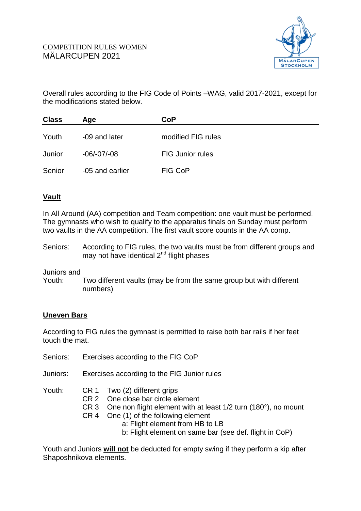

Overall rules according to the FIG Code of Points –WAG, valid 2017-2021, except for the modifications stated below.

| <b>Class</b> | Age             | CoP                     |  |
|--------------|-----------------|-------------------------|--|
| Youth        | -09 and later   | modified FIG rules      |  |
| Junior       | $-06/-07/-08$   | <b>FIG Junior rules</b> |  |
| Senior       | -05 and earlier | FIG CoP                 |  |

# **Vault**

In All Around (AA) competition and Team competition: one vault must be performed. The gymnasts who wish to qualify to the apparatus finals on Sunday must perform two vaults in the AA competition. The first vault score counts in the AA comp.

Seniors: According to FIG rules, the two vaults must be from different groups and may not have identical 2<sup>nd</sup> flight phases

Juniors and

Youth: Two different vaults (may be from the same group but with different numbers)

### **Uneven Bars**

According to FIG rules the gymnast is permitted to raise both bar rails if her feet touch the mat.

- Seniors: Exercises according to the FIG CoP
- Juniors: Exercises according to the FIG Junior rules

- Youth: CR 1 Two (2) different grips
	- CR 2 One close bar circle element
	- CR 3 One non flight element with at least 1/2 turn (180°), no mount
	- CR 4 One (1) of the following element
		- a: Flight element from HB to LB
			- b: Flight element on same bar (see def. flight in CoP)

Youth and Juniors **will not** be deducted for empty swing if they perform a kip after Shaposhnikova elements.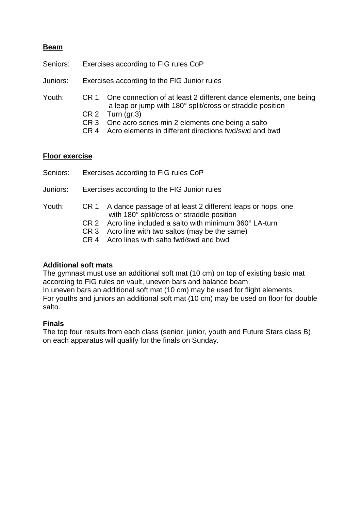### **Beam**

- Seniors: Exercises according to FIG rules CoP
- Juniors: Exercises according to the FIG Junior rules

Youth: CR 1 One connection of at least 2 different dance elements, one being a leap or jump with 180° split/cross or straddle position

- CR 2 Turn (gr.3)
- CR 3 One acro series min 2 elements one being a salto
- CR 4 Acro elements in different directions fwd/swd and bwd

#### **Floor exercise**

- Seniors: Exercises according to FIG rules CoP
- Juniors: Exercises according to the FIG Junior rules

#### Youth: CR 1 A dance passage of at least 2 different leaps or hops, one with 180° split/cross or straddle position

- CR 2 Acro line included a salto with minimum 360° LA-turn
- CR 3 Acro line with two saltos (may be the same)
- CR 4 Acro lines with salto fwd/swd and bwd

#### **Additional soft mats**

The gymnast must use an additional soft mat (10 cm) on top of existing basic mat according to FIG rules on vault, uneven bars and balance beam. In uneven bars an additional soft mat (10 cm) may be used for flight elements.

For youths and juniors an additional soft mat (10 cm) may be used on floor for double salto.

#### **Finals**

The top four results from each class (senior, junior, youth and Future Stars class B) on each apparatus will qualify for the finals on Sunday.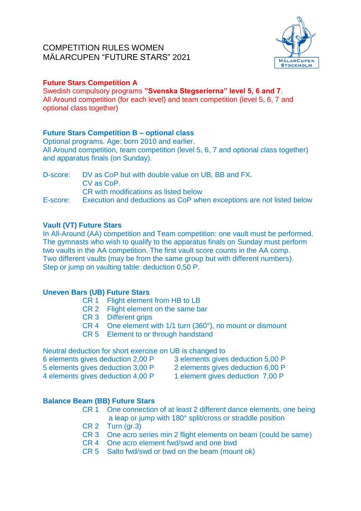# COMPETITION RULES WOMEN MÄLARCUPEN "FUTURE STARS" 2021



## **Future Stars Competition A**

Swedish compulsory programs **"Svenska Stegserierna" level 5, 6 and 7**. All Around competition (for each level) and team competition (level 5, 6, 7 and optional class together)

### **Future Stars Competition B – optional class**

Optional programs. Age: born 2010 and earlier. All Around competition, team competition (level 5, 6, 7 and optional class together) and apparatus finals (on Sunday).

D-score: DV as CoP but with double value on UB, BB and FX. CV as CoP. CR with modifications as listed below E-score: Execution and deductions as CoP when exceptions are not listed below

### **Vault (VT) Future Stars**

In All-Around (AA) competition and Team competition: one vault must be performed. The gymnasts who wish to qualify to the apparatus finals on Sunday must perform two vaults in the AA competition. The first vault score counts in the AA comp. Two different vaults (may be from the same group but with different numbers). Step or jump on vaulting table: deduction 0,50 P.

### **Uneven Bars (UB) Future Stars**

- CR 1 Flight element from HB to LB
- CR 2 Flight element on the same bar
- CR 3 Different grips
- CR 4 One element with 1/1 turn (360°), no mount or dismount
- CR 5 Element to or through handstand

Neutral deduction for short exercise on UB is changed to

- 
- 6 elements gives deduction 2,00 P 3 elements gives deduction 5,00 P

5 elements gives deduction 3,00 P 2 elements gives deduction 6,00 P

- 
- 

4 elements gives deduction 4,00 P 1 element gives deduction 7,00 P

# **Balance Beam (BB) Future Stars**

- CR 1 One connection of at least 2 different dance elements, one being a leap or jump with 180° split/cross or straddle position
- $CR<sub>2</sub>$  Turn (gr.3)
- CR 3 One acro series min 2 flight elements on beam (could be same)
- CR 4 One acro element fwd/swd and one bwd
- CR 5 Salto fwd/swd or bwd on the beam (mount ok)